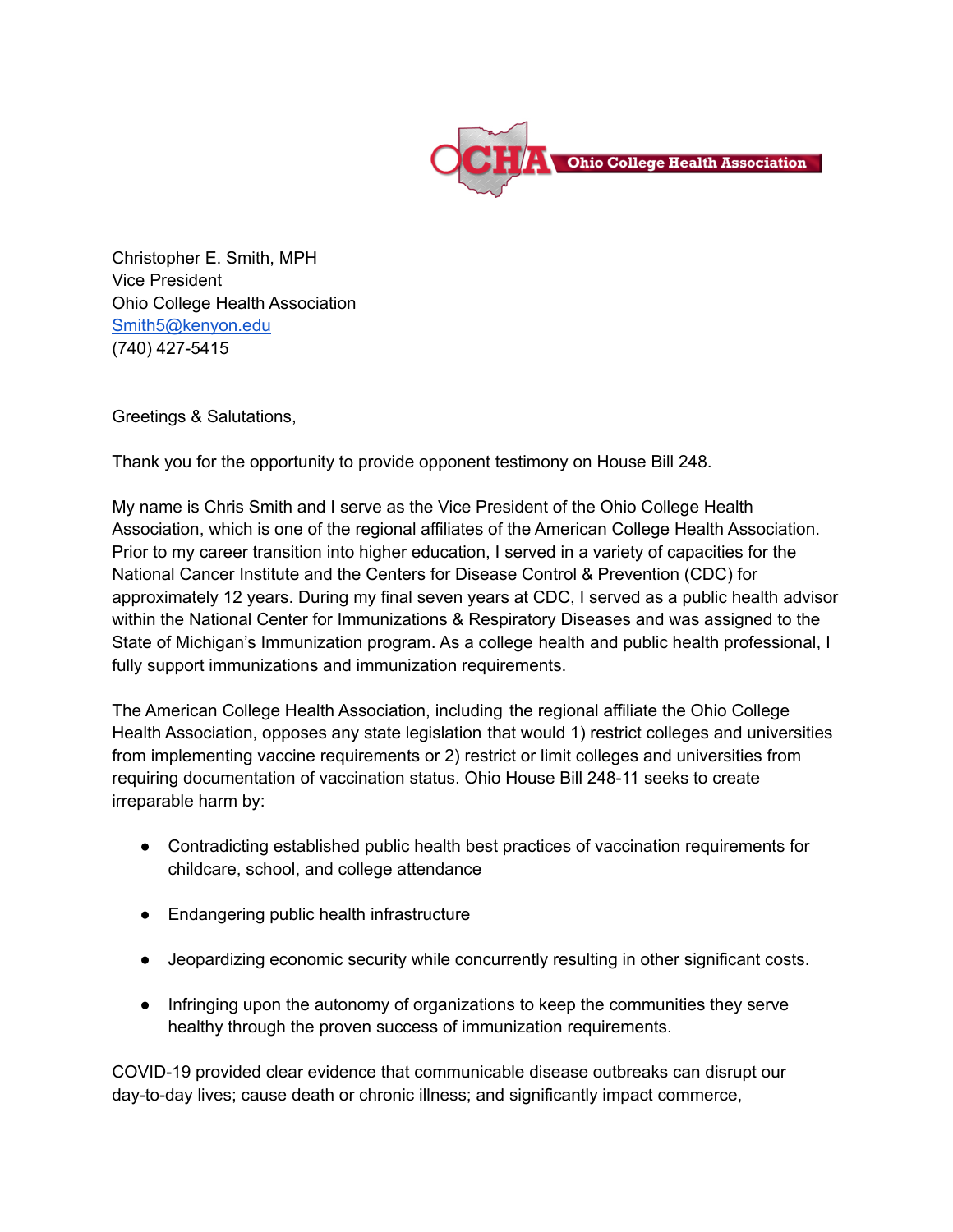

Christopher E. Smith, MPH Vice President Ohio College Health Association [Smith5@kenyon.edu](mailto:Smith5@kenyon.edu) (740) 427-5415

Greetings & Salutations,

Thank you for the opportunity to provide opponent testimony on House Bill 248.

My name is Chris Smith and I serve as the Vice President of the Ohio College Health Association, which is one of the regional affiliates of the American College Health Association. Prior to my career transition into higher education, I served in a variety of capacities for the National Cancer Institute and the Centers for Disease Control & Prevention (CDC) for approximately 12 years. During my final seven years at CDC, I served as a public health advisor within the National Center for Immunizations & Respiratory Diseases and was assigned to the State of Michigan's Immunization program. As a college health and public health professional, I fully support immunizations and immunization requirements.

The American College Health Association, including the regional affiliate the Ohio College Health Association, opposes any state legislation that would 1) restrict colleges and universities from implementing vaccine requirements or 2) restrict or limit colleges and universities from requiring documentation of vaccination status. Ohio House Bill 248-11 seeks to create irreparable harm by:

- Contradicting established public health best practices of vaccination requirements for childcare, school, and college attendance
- Endangering public health infrastructure
- Jeopardizing economic security while concurrently resulting in other significant costs.
- Infringing upon the autonomy of organizations to keep the communities they serve healthy through the proven success of immunization requirements.

COVID-19 provided clear evidence that communicable disease outbreaks can disrupt our day-to-day lives; cause death or chronic illness; and significantly impact commerce,